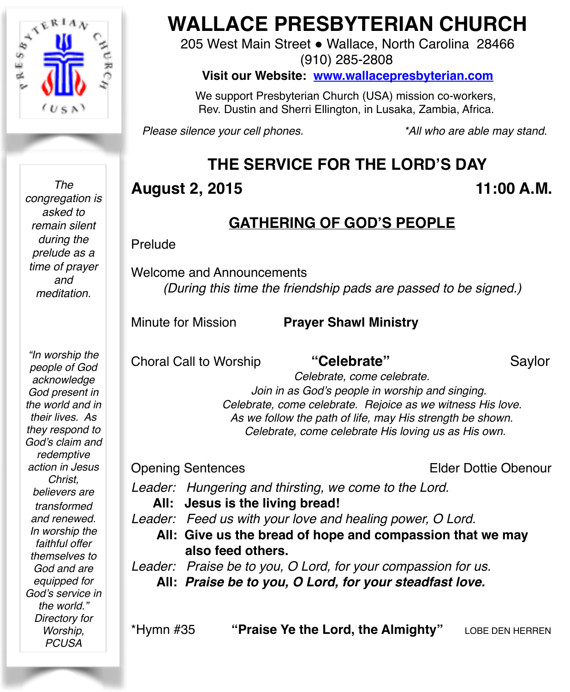

*The congregation is asked to remain silent during the prelude as a time of prayer and meditation.*

*"In worship the people of God acknowledge God present in the world and in their lives. As they respond to God's claim and redemptive action in Jesus Christ, believers are transformed and renewed. In worship the faithful offer themselves to God and are equipped for God's service in the world." Directory for Worship, PCUSA*

# **WALLACE PRESBYTERIAN CHURCH**

205 West Main Street . Wallace, North Carolina 28466 (910) 285-2808

**Visit our Website: [www.wallacepresbyterian.com](http://www.wallacepresbyterian.com)**

 We support Presbyterian Church (USA) mission co-workers, Rev. Dustin and Sherri Ellington, in Lusaka, Zambia, Africa.

*Please silence your cell phones. \*All who are able may stand.*

# **THE SERVICE FOR THE LORD'S DAY**

### **August 2, 2015 11:00 A.M.**

### **GATHERING OF GOD'S PEOPLE**

#### Prelude

Welcome and Announcements *(During this time the friendship pads are passed to be signed.)*

Minute for Mission **Prayer Shawl Ministry**

Choral Call to Worship **"Celebrate"** Saylor

 *Celebrate, come celebrate. Join in as God's people in worship and singing. Celebrate, come celebrate. Rejoice as we witness His love. As we follow the path of life, may His strength be shown. Celebrate, come celebrate His loving us as His own.*

Opening Sentences Elder Dottie Obenour

*Leader: Hungering and thirsting, we come to the Lord.*

**All: Jesus is the living bread!**

*Leader: Feed us with your love and healing power, O Lord.* 

**All: Give us the bread of hope and compassion that we may also feed others.** 

*Leader: Praise be to you, O Lord, for your compassion for us.* **All:** *Praise be to you, O Lord, for your steadfast love.*

\*Hymn #35 **"Praise Ye the Lord, the Almighty"** LOBE DEN HERREN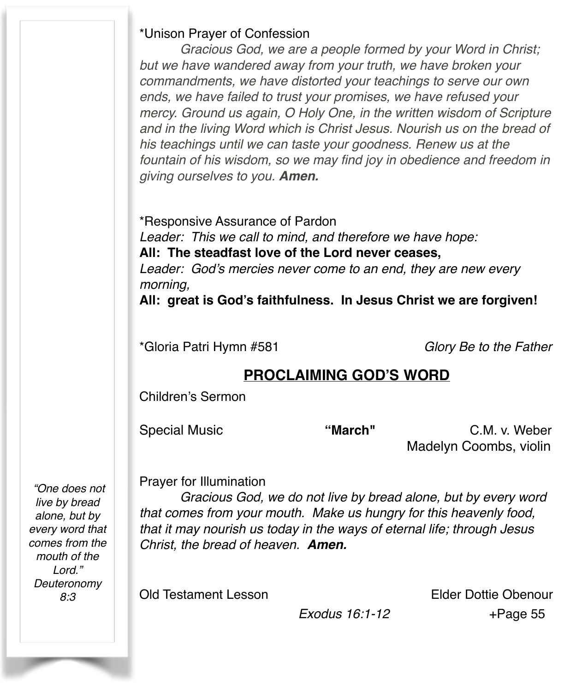#### \*Unison Prayer of Confession

*Gracious God, we are a people formed by your Word in Christ; but we have wandered away from your truth, we have broken your commandments, we have distorted your teachings to serve our own ends, we have failed to trust your promises, we have refused your mercy. Ground us again, O Holy One, in the written wisdom of Scripture and in the living Word which is Christ Jesus. Nourish us on the bread of his teachings until we can taste your goodness. Renew us at the fountain of his wisdom, so we may find joy in obedience and freedom in giving ourselves to you. Amen.* 

\*Responsive Assurance of Pardon *Leader: This we call to mind, and therefore we have hope:* **All: The steadfast love of the Lord never ceases,** *Leader: God's mercies never come to an end, they are new every morning,*

**All: great is God's faithfulness. In Jesus Christ we are forgiven!**

\*Gloria Patri Hymn #581 *Glory Be to the Father*

#### **PROCLAIMING GOD'S WORD**

Children's Sermon

Special Music **"March"** C.M. v. Weber Madelyn Coombs, violin

Prayer for Illumination

*Gracious God, we do not live by bread alone, but by every word that comes from your mouth. Make us hungry for this heavenly food, that it may nourish us today in the ways of eternal life; through Jesus Christ, the bread of heaven. Amen.*

Old Testament Lesson Elder Dottie Obenour

 *Exodus 16:1-12* +Page 55

 *"One does not live by bread alone, but by every word that comes from the mouth of the Lord." Deuteronomy 8:3*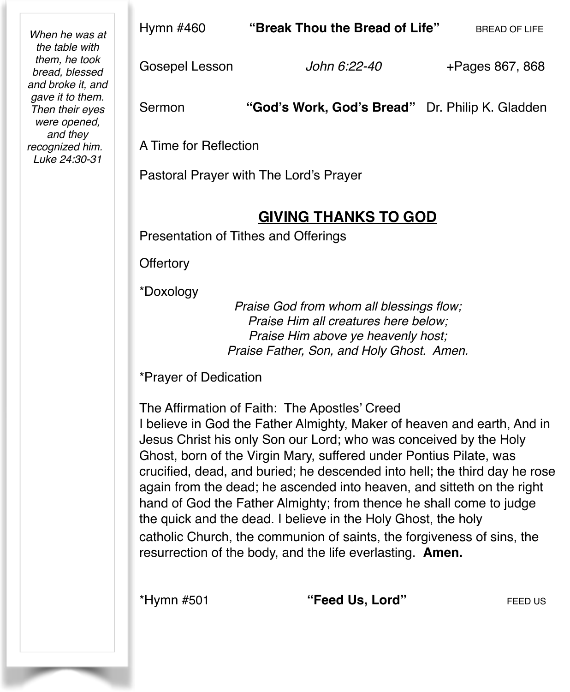| When he was at<br>the table with<br>them, he took<br>bread, blessed<br>and broke it, and<br>gave it to them.<br>Then their eyes<br>were opened,<br>and they<br>recognized him.<br>Luke 24:30-31 | Hymn #460                                                                                                                                                                                                                                                                                                                                                                                                                                                                                                                                                                                                                                                                                                  | "Break Thou the Bread of Life"                  | <b>BREAD OF LIFE</b> |  |  |
|-------------------------------------------------------------------------------------------------------------------------------------------------------------------------------------------------|------------------------------------------------------------------------------------------------------------------------------------------------------------------------------------------------------------------------------------------------------------------------------------------------------------------------------------------------------------------------------------------------------------------------------------------------------------------------------------------------------------------------------------------------------------------------------------------------------------------------------------------------------------------------------------------------------------|-------------------------------------------------|----------------------|--|--|
|                                                                                                                                                                                                 | Gosepel Lesson                                                                                                                                                                                                                                                                                                                                                                                                                                                                                                                                                                                                                                                                                             | John 6:22-40                                    | +Pages 867, 868      |  |  |
|                                                                                                                                                                                                 | Sermon                                                                                                                                                                                                                                                                                                                                                                                                                                                                                                                                                                                                                                                                                                     | "God's Work, God's Bread" Dr. Philip K. Gladden |                      |  |  |
|                                                                                                                                                                                                 | A Time for Reflection                                                                                                                                                                                                                                                                                                                                                                                                                                                                                                                                                                                                                                                                                      |                                                 |                      |  |  |
|                                                                                                                                                                                                 | Pastoral Prayer with The Lord's Prayer                                                                                                                                                                                                                                                                                                                                                                                                                                                                                                                                                                                                                                                                     |                                                 |                      |  |  |
|                                                                                                                                                                                                 | <b>GIVING THANKS TO GOD</b>                                                                                                                                                                                                                                                                                                                                                                                                                                                                                                                                                                                                                                                                                |                                                 |                      |  |  |
|                                                                                                                                                                                                 | Presentation of Tithes and Offerings                                                                                                                                                                                                                                                                                                                                                                                                                                                                                                                                                                                                                                                                       |                                                 |                      |  |  |
|                                                                                                                                                                                                 | Offertory                                                                                                                                                                                                                                                                                                                                                                                                                                                                                                                                                                                                                                                                                                  |                                                 |                      |  |  |
|                                                                                                                                                                                                 | *Doxology<br>Praise God from whom all blessings flow;<br>Praise Him all creatures here below;<br>Praise Him above ye heavenly host;<br>Praise Father, Son, and Holy Ghost. Amen.                                                                                                                                                                                                                                                                                                                                                                                                                                                                                                                           |                                                 |                      |  |  |
|                                                                                                                                                                                                 | *Prayer of Dedication                                                                                                                                                                                                                                                                                                                                                                                                                                                                                                                                                                                                                                                                                      |                                                 |                      |  |  |
|                                                                                                                                                                                                 | The Affirmation of Faith: The Apostles' Creed<br>I believe in God the Father Almighty, Maker of heaven and earth, And in<br>Jesus Christ his only Son our Lord; who was conceived by the Holy<br>Ghost, born of the Virgin Mary, suffered under Pontius Pilate, was<br>crucified, dead, and buried; he descended into hell; the third day he rose<br>again from the dead; he ascended into heaven, and sitteth on the right<br>hand of God the Father Almighty; from thence he shall come to judge<br>the quick and the dead. I believe in the Holy Ghost, the holy<br>catholic Church, the communion of saints, the forgiveness of sins, the<br>resurrection of the body, and the life everlasting. Amen. |                                                 |                      |  |  |
|                                                                                                                                                                                                 | *Hymn #501                                                                                                                                                                                                                                                                                                                                                                                                                                                                                                                                                                                                                                                                                                 | "Feed Us, Lord"                                 | FEED US              |  |  |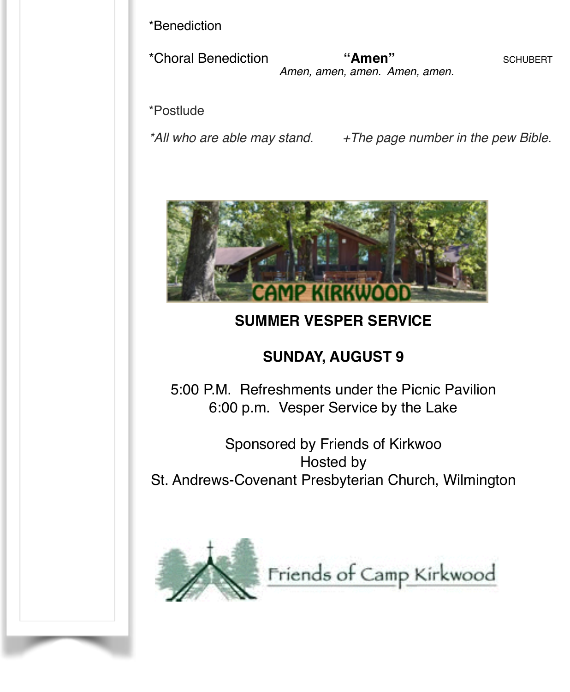\*Benediction

\*Choral Benediction **"Amen"** SCHUBERT *Amen, amen, amen. Amen, amen.*

\*Postlude

*\*All who are able may stand. +The page number in the pew Bible.*



### **SUMMER VESPER SERVICE**

### **SUNDAY, AUGUST 9**

5:00 P.M. Refreshments under the Picnic Pavilion 6:00 p.m. Vesper Service by the Lake

Sponsored by Friends of Kirkwoo Hosted by St. Andrews-Covenant Presbyterian Church, Wilmington



Friends of Camp Kirkwood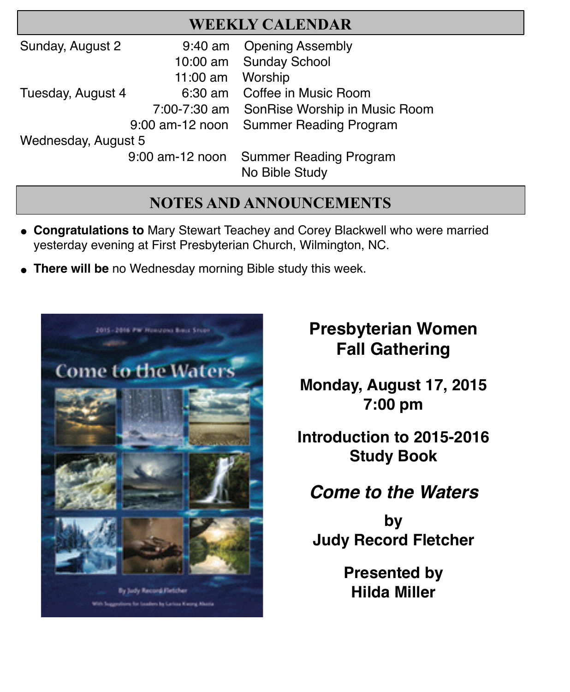| <b>WEEKLY CALENDAR</b> |  |
|------------------------|--|
|------------------------|--|

| Sunday, August 2    | $9:40$ am         | <b>Opening Assembly</b>       |  |  |
|---------------------|-------------------|-------------------------------|--|--|
|                     |                   | 10:00 am Sunday School        |  |  |
|                     | $11:00$ am        | Worship                       |  |  |
| Tuesday, August 4   | 6:30 am           | Coffee in Music Room          |  |  |
|                     | 7:00-7:30 am      | SonRise Worship in Music Room |  |  |
|                     | 9:00 am-12 noon   | <b>Summer Reading Program</b> |  |  |
| Wednesday, August 5 |                   |                               |  |  |
|                     | $9:00$ am-12 noon | <b>Summer Reading Program</b> |  |  |
|                     |                   | No Bible Study                |  |  |

#### **NOTES AND ANNOUNCEMENTS**

- " **Congratulations to** Mary Stewart Teachey and Corey Blackwell who were married yesterday evening at First Presbyterian Church, Wilmington, NC.
- **There will be** no Wednesday morning Bible study this week.



# **Presbyterian Women Fall Gathering**

**Monday, August 17, 2015 7:00 pm**

**Introduction to 2015-2016 Study Book**

# *Come to the Waters*

**by Judy Record Fletcher**

> **Presented by Hilda Miller**